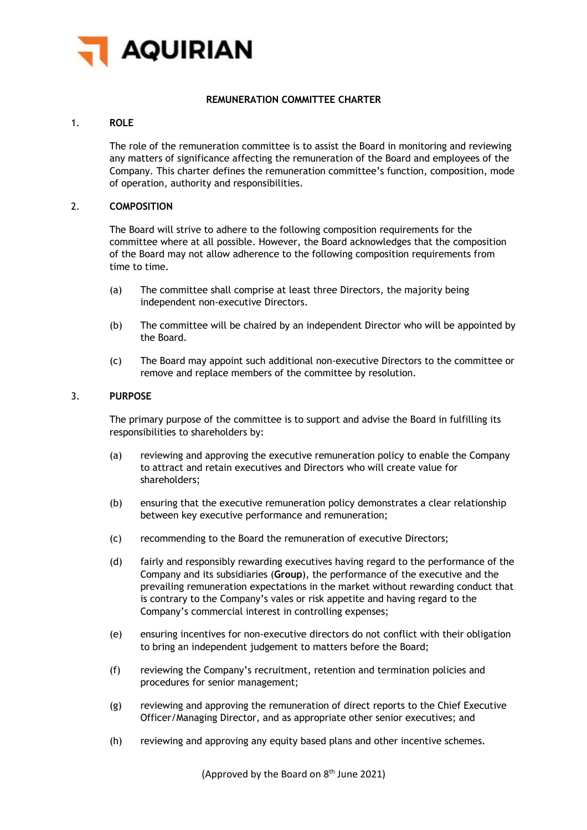

# **REMUNERATION COMMITTEE CHARTER**

### 1. **ROLE**

The role of the remuneration committee is to assist the Board in monitoring and reviewing any matters of significance affecting the remuneration of the Board and employees of the Company. This charter defines the remuneration committee's function, composition, mode of operation, authority and responsibilities.

#### 2. **COMPOSITION**

The Board will strive to adhere to the following composition requirements for the committee where at all possible. However, the Board acknowledges that the composition of the Board may not allow adherence to the following composition requirements from time to time.

- (a) The committee shall comprise at least three Directors, the majority being independent non-executive Directors.
- (b) The committee will be chaired by an independent Director who will be appointed by the Board.
- (c) The Board may appoint such additional non-executive Directors to the committee or remove and replace members of the committee by resolution.

#### 3. **PURPOSE**

The primary purpose of the committee is to support and advise the Board in fulfilling its responsibilities to shareholders by:

- (a) reviewing and approving the executive remuneration policy to enable the Company to attract and retain executives and Directors who will create value for shareholders;
- (b) ensuring that the executive remuneration policy demonstrates a clear relationship between key executive performance and remuneration;
- (c) recommending to the Board the remuneration of executive Directors;
- (d) fairly and responsibly rewarding executives having regard to the performance of the Company and its subsidiaries (**Group**), the performance of the executive and the prevailing remuneration expectations in the market without rewarding conduct that is contrary to the Company's vales or risk appetite and having regard to the Company's commercial interest in controlling expenses;
- (e) ensuring incentives for non-executive directors do not conflict with their obligation to bring an independent judgement to matters before the Board;
- (f) reviewing the Company's recruitment, retention and termination policies and procedures for senior management;
- (g) reviewing and approving the remuneration of direct reports to the Chief Executive Officer/Managing Director, and as appropriate other senior executives; and
- (h) reviewing and approving any equity based plans and other incentive schemes.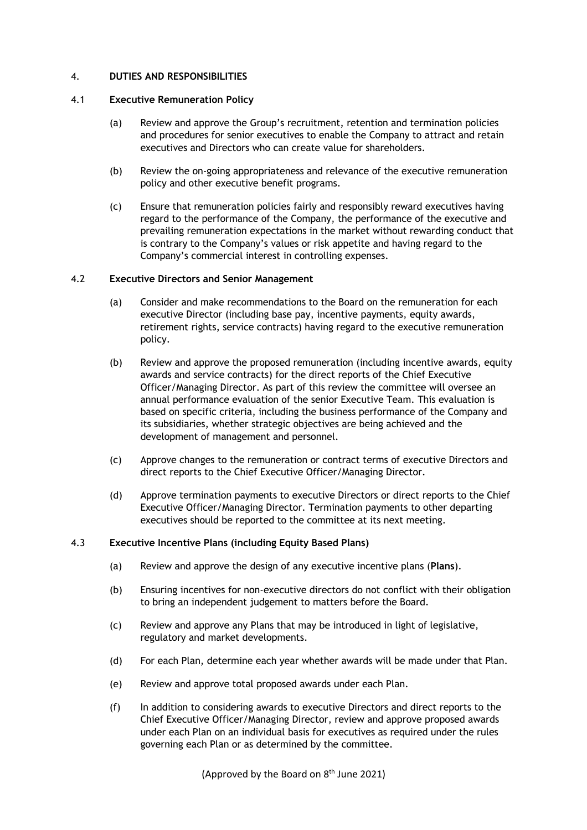## 4. **DUTIES AND RESPONSIBILITIES**

### 4.1 **Executive Remuneration Policy**

- (a) Review and approve the Group's recruitment, retention and termination policies and procedures for senior executives to enable the Company to attract and retain executives and Directors who can create value for shareholders.
- (b) Review the on-going appropriateness and relevance of the executive remuneration policy and other executive benefit programs.
- (c) Ensure that remuneration policies fairly and responsibly reward executives having regard to the performance of the Company, the performance of the executive and prevailing remuneration expectations in the market without rewarding conduct that is contrary to the Company's values or risk appetite and having regard to the Company's commercial interest in controlling expenses.

#### 4.2 **Executive Directors and Senior Management**

- (a) Consider and make recommendations to the Board on the remuneration for each executive Director (including base pay, incentive payments, equity awards, retirement rights, service contracts) having regard to the executive remuneration policy.
- (b) Review and approve the proposed remuneration (including incentive awards, equity awards and service contracts) for the direct reports of the Chief Executive Officer/Managing Director. As part of this review the committee will oversee an annual performance evaluation of the senior Executive Team. This evaluation is based on specific criteria, including the business performance of the Company and its subsidiaries, whether strategic objectives are being achieved and the development of management and personnel.
- (c) Approve changes to the remuneration or contract terms of executive Directors and direct reports to the Chief Executive Officer/Managing Director.
- (d) Approve termination payments to executive Directors or direct reports to the Chief Executive Officer/Managing Director. Termination payments to other departing executives should be reported to the committee at its next meeting.

## 4.3 **Executive Incentive Plans (including Equity Based Plans)**

- (a) Review and approve the design of any executive incentive plans (**Plans**).
- (b) Ensuring incentives for non-executive directors do not conflict with their obligation to bring an independent judgement to matters before the Board.
- (c) Review and approve any Plans that may be introduced in light of legislative, regulatory and market developments.
- (d) For each Plan, determine each year whether awards will be made under that Plan.
- (e) Review and approve total proposed awards under each Plan.
- (f) In addition to considering awards to executive Directors and direct reports to the Chief Executive Officer/Managing Director, review and approve proposed awards under each Plan on an individual basis for executives as required under the rules governing each Plan or as determined by the committee.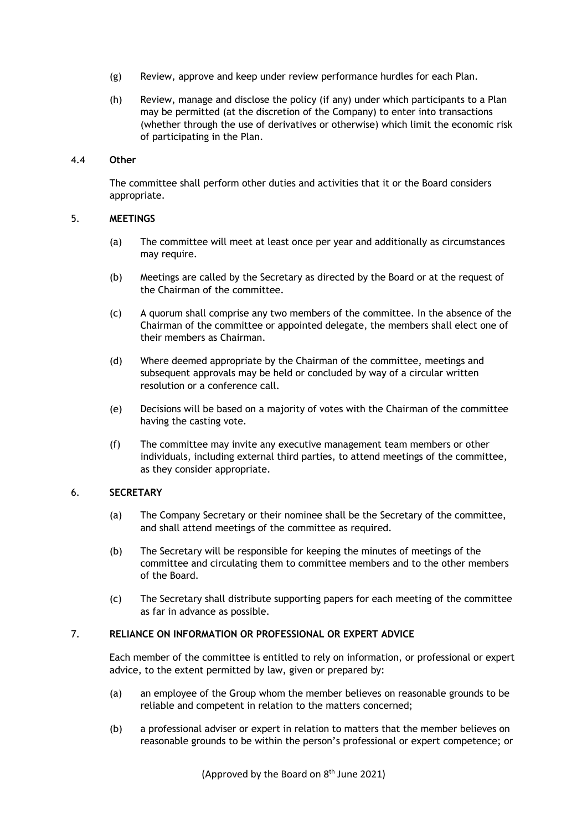- (g) Review, approve and keep under review performance hurdles for each Plan.
- (h) Review, manage and disclose the policy (if any) under which participants to a Plan may be permitted (at the discretion of the Company) to enter into transactions (whether through the use of derivatives or otherwise) which limit the economic risk of participating in the Plan.

#### 4.4 **Other**

The committee shall perform other duties and activities that it or the Board considers appropriate.

#### 5. **MEETINGS**

- (a) The committee will meet at least once per year and additionally as circumstances may require.
- (b) Meetings are called by the Secretary as directed by the Board or at the request of the Chairman of the committee.
- (c) A quorum shall comprise any two members of the committee. In the absence of the Chairman of the committee or appointed delegate, the members shall elect one of their members as Chairman.
- (d) Where deemed appropriate by the Chairman of the committee, meetings and subsequent approvals may be held or concluded by way of a circular written resolution or a conference call.
- (e) Decisions will be based on a majority of votes with the Chairman of the committee having the casting vote.
- (f) The committee may invite any executive management team members or other individuals, including external third parties, to attend meetings of the committee, as they consider appropriate.

# 6. **SECRETARY**

- (a) The Company Secretary or their nominee shall be the Secretary of the committee, and shall attend meetings of the committee as required.
- (b) The Secretary will be responsible for keeping the minutes of meetings of the committee and circulating them to committee members and to the other members of the Board.
- (c) The Secretary shall distribute supporting papers for each meeting of the committee as far in advance as possible.

## 7. **RELIANCE ON INFORMATION OR PROFESSIONAL OR EXPERT ADVICE**

Each member of the committee is entitled to rely on information, or professional or expert advice, to the extent permitted by law, given or prepared by:

- (a) an employee of the Group whom the member believes on reasonable grounds to be reliable and competent in relation to the matters concerned;
- (b) a professional adviser or expert in relation to matters that the member believes on reasonable grounds to be within the person's professional or expert competence; or